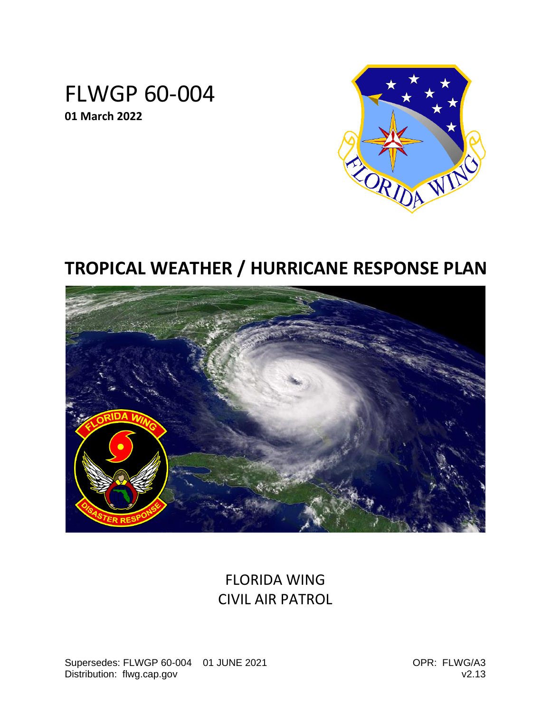# FLWGP 60-004 **01 March 2022**



# **TROPICAL WEATHER / HURRICANE RESPONSE PLAN**



# FLORIDA WING CIVIL AIR PATROL

Supersedes: FLWGP 60-004 01 JUNE 2021 QUE COPR: FLWG/A3 Distribution: flwg.cap.gov v2.13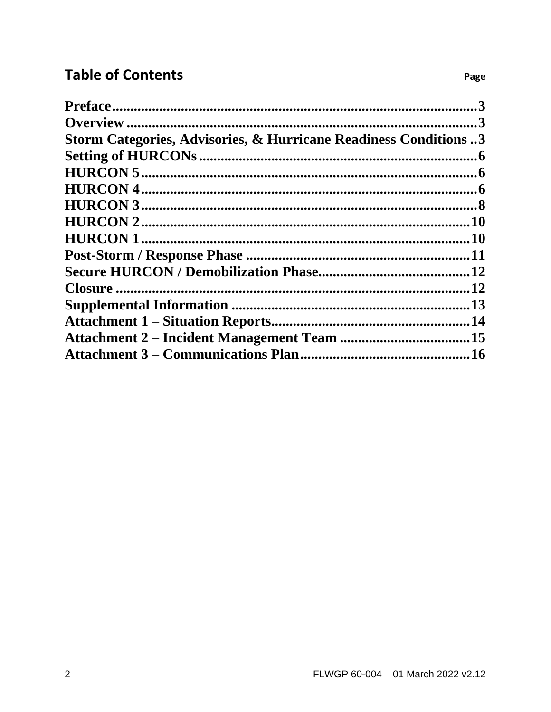# **Table of Contents**

|                                                                  | $\mathbf 3$ |
|------------------------------------------------------------------|-------------|
|                                                                  |             |
| Storm Categories, Advisories, & Hurricane Readiness Conditions 3 |             |
|                                                                  | .6          |
|                                                                  |             |
|                                                                  |             |
|                                                                  |             |
|                                                                  | .10         |
|                                                                  |             |
|                                                                  |             |
|                                                                  |             |
|                                                                  |             |
|                                                                  |             |
|                                                                  | .14         |
|                                                                  |             |
|                                                                  |             |

Page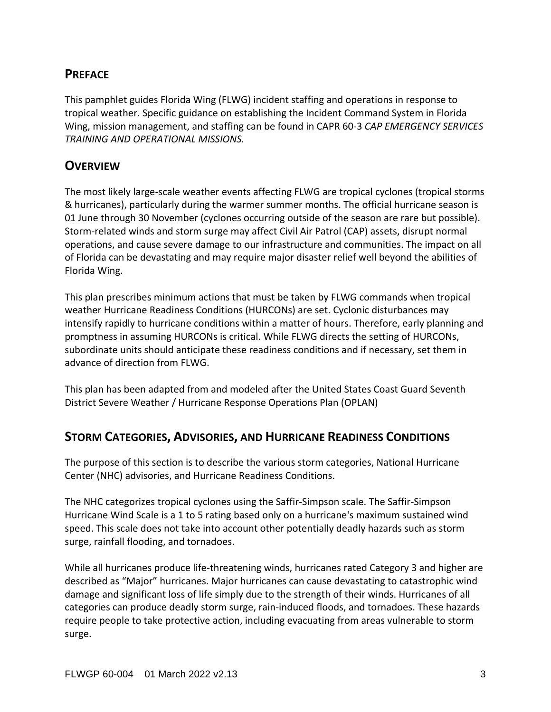### <span id="page-2-0"></span>**PREFACE**

This pamphlet guides Florida Wing (FLWG) incident staffing and operations in response to tropical weather. Specific guidance on establishing the Incident Command System in Florida Wing, mission management, and staffing can be found in CAPR 60-3 *CAP EMERGENCY SERVICES TRAINING AND OPERATIONAL MISSIONS.*

### <span id="page-2-1"></span>**OVERVIEW**

The most likely large-scale weather events affecting FLWG are tropical cyclones (tropical storms & hurricanes), particularly during the warmer summer months. The official hurricane season is 01 June through 30 November (cyclones occurring outside of the season are rare but possible). Storm-related winds and storm surge may affect Civil Air Patrol (CAP) assets, disrupt normal operations, and cause severe damage to our infrastructure and communities. The impact on all of Florida can be devastating and may require major disaster relief well beyond the abilities of Florida Wing.

This plan prescribes minimum actions that must be taken by FLWG commands when tropical weather Hurricane Readiness Conditions (HURCONs) are set. Cyclonic disturbances may intensify rapidly to hurricane conditions within a matter of hours. Therefore, early planning and promptness in assuming HURCONs is critical. While FLWG directs the setting of HURCONs, subordinate units should anticipate these readiness conditions and if necessary, set them in advance of direction from FLWG.

This plan has been adapted from and modeled after the United States Coast Guard Seventh District Severe Weather / Hurricane Response Operations Plan (OPLAN)

### <span id="page-2-2"></span>**STORM CATEGORIES, ADVISORIES, AND HURRICANE READINESS CONDITIONS**

The purpose of this section is to describe the various storm categories, National Hurricane Center (NHC) advisories, and Hurricane Readiness Conditions.

The NHC categorizes tropical cyclones using the Saffir-Simpson scale. The Saffir-Simpson Hurricane Wind Scale is a 1 to 5 rating based only on a hurricane's maximum sustained wind speed. This scale does not take into account other potentially deadly hazards such as storm surge, rainfall flooding, and tornadoes.

While all hurricanes produce life-threatening winds, hurricanes rated Category 3 and higher are described as "Major" hurricanes. Major hurricanes can cause devastating to catastrophic wind damage and significant loss of life simply due to the strength of their winds. Hurricanes of all categories can produce deadly storm surge, rain-induced floods, and tornadoes. These hazards require people to take protective action, including evacuating from areas vulnerable to storm surge.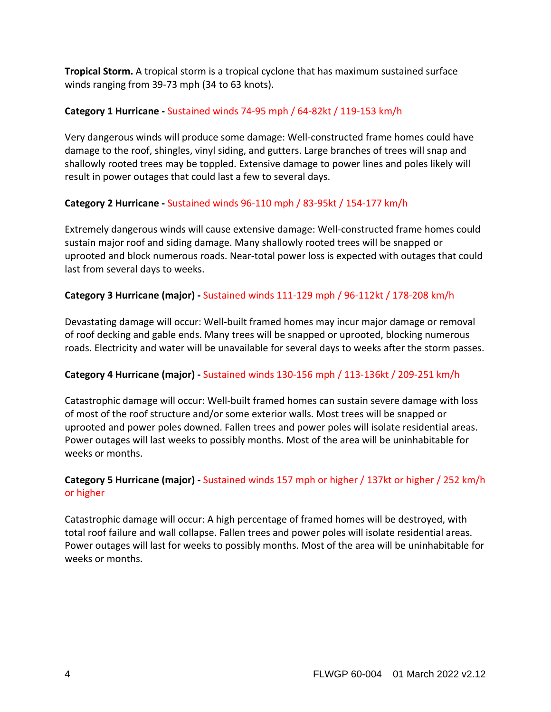**Tropical Storm.** A tropical storm is a tropical cyclone that has maximum sustained surface winds ranging from 39-73 mph (34 to 63 knots).

### **Category 1 Hurricane -** Sustained winds 74-95 mph / 64-82kt / 119-153 km/h

Very dangerous winds will produce some damage: Well-constructed frame homes could have damage to the roof, shingles, vinyl siding, and gutters. Large branches of trees will snap and shallowly rooted trees may be toppled. Extensive damage to power lines and poles likely will result in power outages that could last a few to several days.

### **Category 2 Hurricane -** Sustained winds 96-110 mph / 83-95kt / 154-177 km/h

Extremely dangerous winds will cause extensive damage: Well-constructed frame homes could sustain major roof and siding damage. Many shallowly rooted trees will be snapped or uprooted and block numerous roads. Near-total power loss is expected with outages that could last from several days to weeks.

### **Category 3 Hurricane (major) -** Sustained winds 111-129 mph / 96-112kt / 178-208 km/h

Devastating damage will occur: Well-built framed homes may incur major damage or removal of roof decking and gable ends. Many trees will be snapped or uprooted, blocking numerous roads. Electricity and water will be unavailable for several days to weeks after the storm passes.

### **Category 4 Hurricane (major) -** Sustained winds 130-156 mph / 113-136kt / 209-251 km/h

Catastrophic damage will occur: Well-built framed homes can sustain severe damage with loss of most of the roof structure and/or some exterior walls. Most trees will be snapped or uprooted and power poles downed. Fallen trees and power poles will isolate residential areas. Power outages will last weeks to possibly months. Most of the area will be uninhabitable for weeks or months.

### **Category 5 Hurricane (major) -** Sustained winds 157 mph or higher / 137kt or higher / 252 km/h or higher

Catastrophic damage will occur: A high percentage of framed homes will be destroyed, with total roof failure and wall collapse. Fallen trees and power poles will isolate residential areas. Power outages will last for weeks to possibly months. Most of the area will be uninhabitable for weeks or months.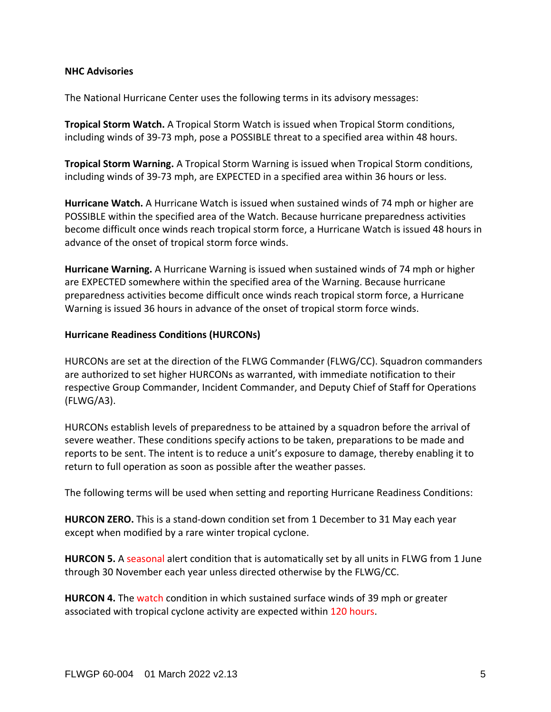#### **NHC Advisories**

The National Hurricane Center uses the following terms in its advisory messages:

**Tropical Storm Watch.** A Tropical Storm Watch is issued when Tropical Storm conditions, including winds of 39-73 mph, pose a POSSIBLE threat to a specified area within 48 hours.

**Tropical Storm Warning.** A Tropical Storm Warning is issued when Tropical Storm conditions, including winds of 39-73 mph, are EXPECTED in a specified area within 36 hours or less.

**Hurricane Watch.** A Hurricane Watch is issued when sustained winds of 74 mph or higher are POSSIBLE within the specified area of the Watch. Because hurricane preparedness activities become difficult once winds reach tropical storm force, a Hurricane Watch is issued 48 hours in advance of the onset of tropical storm force winds.

**Hurricane Warning.** A Hurricane Warning is issued when sustained winds of 74 mph or higher are EXPECTED somewhere within the specified area of the Warning. Because hurricane preparedness activities become difficult once winds reach tropical storm force, a Hurricane Warning is issued 36 hours in advance of the onset of tropical storm force winds.

#### **Hurricane Readiness Conditions (HURCONs)**

HURCONs are set at the direction of the FLWG Commander (FLWG/CC). Squadron commanders are authorized to set higher HURCONs as warranted, with immediate notification to their respective Group Commander, Incident Commander, and Deputy Chief of Staff for Operations (FLWG/A3).

HURCONs establish levels of preparedness to be attained by a squadron before the arrival of severe weather. These conditions specify actions to be taken, preparations to be made and reports to be sent. The intent is to reduce a unit's exposure to damage, thereby enabling it to return to full operation as soon as possible after the weather passes.

The following terms will be used when setting and reporting Hurricane Readiness Conditions:

**HURCON ZERO.** This is a stand-down condition set from 1 December to 31 May each year except when modified by a rare winter tropical cyclone.

**HURCON 5.** A seasonal alert condition that is automatically set by all units in FLWG from 1 June through 30 November each year unless directed otherwise by the FLWG/CC.

**HURCON 4.** The watch condition in which sustained surface winds of 39 mph or greater associated with tropical cyclone activity are expected within 120 hours.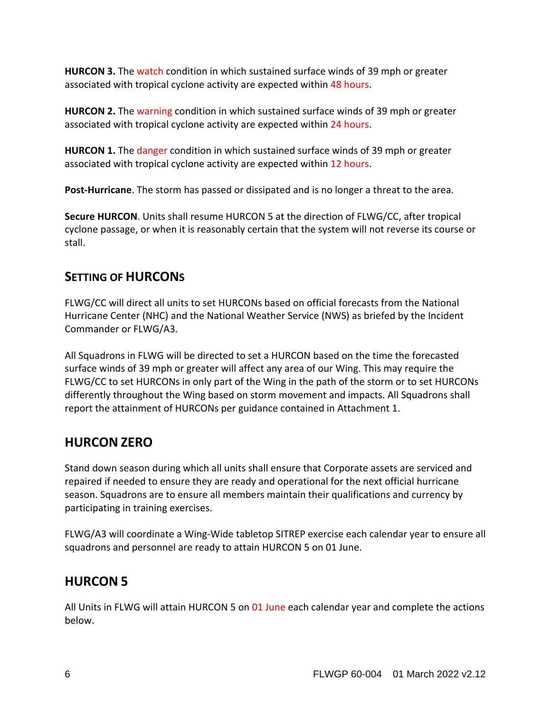**HURCON 3.** The watch condition in which sustained surface winds of 39 mph or greater associated with tropical cyclone activity are expected within 48 hours.

**HURCON 2.** The warning condition in which sustained surface winds of 39 mph or greater associated with tropical cyclone activity are expected within 24 hours.

**HURCON 1.** The danger condition in which sustained surface winds of 39 mph or greater associated with tropical cyclone activity are expected within 12 hours.

**Post-Hurricane**. The storm has passed or dissipated and is no longer a threat to the area.

**Secure HURCON**. Units shall resume HURCON 5 at the direction of FLWG/CC, after tropical cyclone passage, or when it is reasonably certain that the system will not reverse its course or stall.

## <span id="page-5-0"></span>**SETTING OF HURCONS**

FLWG/CC will direct all units to set HURCONs based on official forecasts from the National Hurricane Center (NHC) and the National Weather Service (NWS) as briefed by the Incident Commander or FLWG/A3.

All Squadrons in FLWG will be directed to set a HURCON based on the time the forecasted surface winds of 39 mph or greater will affect any area of our Wing. This may require the FLWG/CC to set HURCONs in only part of the Wing in the path of the storm or to set HURCONs differently throughout the Wing based on storm movement and impacts. All Squadrons shall report the attainment of HURCONs per guidance contained in Attachment 1.

# <span id="page-5-1"></span>**HURCON ZERO**

Stand down season during which all units shall ensure that Corporate assets are serviced and repaired if needed to ensure they are ready and operational for the next official hurricane season. Squadrons are to ensure all members maintain their qualifications and currency by participating in training exercises.

FLWG/A3 will coordinate a Wing-Wide tabletop SITREP exercise each calendar year to ensure all squadrons and personnel are ready to attain HURCON 5 on 01 June.

# <span id="page-5-2"></span>**HURCON 5**

All Units in FLWG will attain HURCON 5 on 01 June each calendar year and complete the actions below.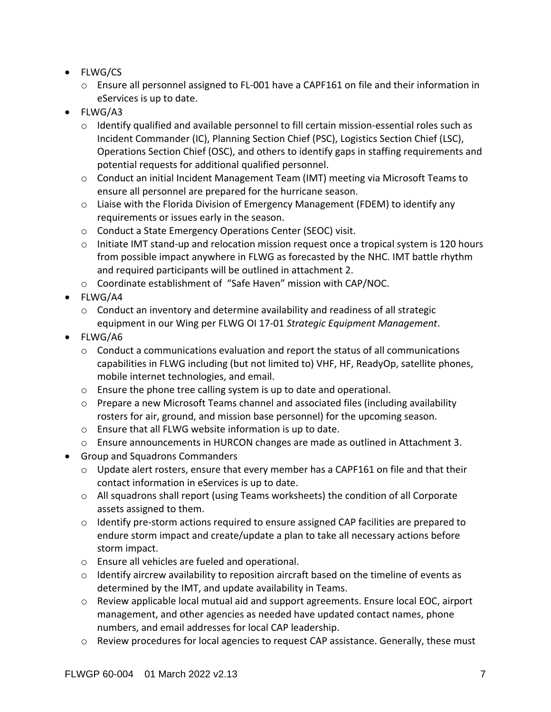- FLWG/CS
	- $\circ$  Ensure all personnel assigned to FL-001 have a CAPF161 on file and their information in eServices is up to date.
- FLWG/A3
	- $\circ$  Identify qualified and available personnel to fill certain mission-essential roles such as Incident Commander (IC), Planning Section Chief (PSC), Logistics Section Chief (LSC), Operations Section Chief (OSC), and others to identify gaps in staffing requirements and potential requests for additional qualified personnel.
	- o Conduct an initial Incident Management Team (IMT) meeting via Microsoft Teams to ensure all personnel are prepared for the hurricane season.
	- o Liaise with the Florida Division of Emergency Management (FDEM) to identify any requirements or issues early in the season.
	- o Conduct a State Emergency Operations Center (SEOC) visit.
	- $\circ$  Initiate IMT stand-up and relocation mission request once a tropical system is 120 hours from possible impact anywhere in FLWG as forecasted by the NHC. IMT battle rhythm and required participants will be outlined in attachment 2.
	- o Coordinate establishment of "Safe Haven" mission with CAP/NOC.
- FLWG/A4
	- $\circ$  Conduct an inventory and determine availability and readiness of all strategic equipment in our Wing per FLWG OI 17-01 *Strategic Equipment Management*.
- FLWG/A6
	- $\circ$  Conduct a communications evaluation and report the status of all communications capabilities in FLWG including (but not limited to) VHF, HF, ReadyOp, satellite phones, mobile internet technologies, and email.
	- o Ensure the phone tree calling system is up to date and operational.
	- $\circ$  Prepare a new Microsoft Teams channel and associated files (including availability rosters for air, ground, and mission base personnel) for the upcoming season.
	- o Ensure that all FLWG website information is up to date.
	- $\circ$  Ensure announcements in HURCON changes are made as outlined in Attachment 3.
- Group and Squadrons Commanders
	- o Update alert rosters, ensure that every member has a CAPF161 on file and that their contact information in eServices is up to date.
	- $\circ$  All squadrons shall report (using Teams worksheets) the condition of all Corporate assets assigned to them.
	- $\circ$  Identify pre-storm actions required to ensure assigned CAP facilities are prepared to endure storm impact and create/update a plan to take all necessary actions before storm impact.
	- o Ensure all vehicles are fueled and operational.
	- $\circ$  Identify aircrew availability to reposition aircraft based on the timeline of events as determined by the IMT, and update availability in Teams.
	- $\circ$  Review applicable local mutual aid and support agreements. Ensure local EOC, airport management, and other agencies as needed have updated contact names, phone numbers, and email addresses for local CAP leadership.
	- $\circ$  Review procedures for local agencies to request CAP assistance. Generally, these must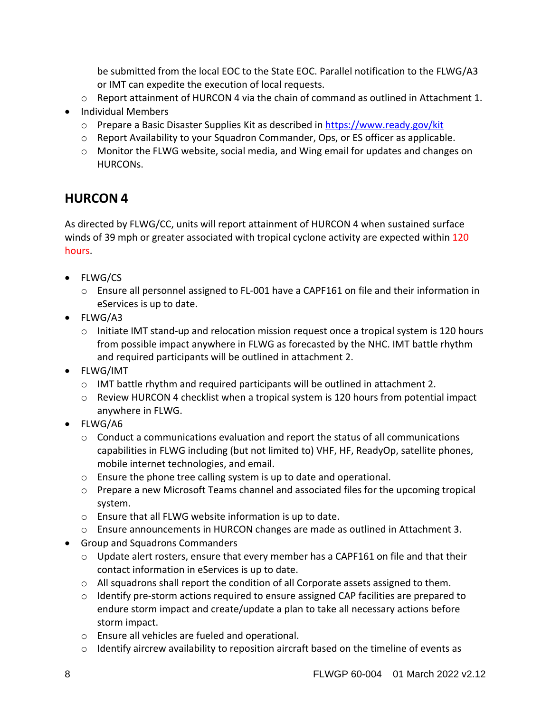be submitted from the local EOC to the State EOC. Parallel notification to the FLWG/A3 or IMT can expedite the execution of local requests.

- $\circ$  Report attainment of HURCON 4 via the chain of command as outlined in Attachment 1.
- Individual Members
	- $\circ$  Prepare a Basic Disaster Supplies Kit as described in<https://www.ready.gov/kit>
	- o Report Availability to your Squadron Commander, Ops, or ES officer as applicable.
	- o Monitor the FLWG website, social media, and Wing email for updates and changes on HURCONs.

# <span id="page-7-0"></span>**HURCON 4**

As directed by FLWG/CC, units will report attainment of HURCON 4 when sustained surface winds of 39 mph or greater associated with tropical cyclone activity are expected within 120 hours.

- FLWG/CS
	- $\circ$  Ensure all personnel assigned to FL-001 have a CAPF161 on file and their information in eServices is up to date.
- FLWG/A3
	- o Initiate IMT stand-up and relocation mission request once a tropical system is 120 hours from possible impact anywhere in FLWG as forecasted by the NHC. IMT battle rhythm and required participants will be outlined in attachment 2.
- FLWG/IMT
	- $\circ$  IMT battle rhythm and required participants will be outlined in attachment 2.
	- o Review HURCON 4 checklist when a tropical system is 120 hours from potential impact anywhere in FLWG.
- FLWG/A6
	- $\circ$  Conduct a communications evaluation and report the status of all communications capabilities in FLWG including (but not limited to) VHF, HF, ReadyOp, satellite phones, mobile internet technologies, and email.
	- o Ensure the phone tree calling system is up to date and operational.
	- $\circ$  Prepare a new Microsoft Teams channel and associated files for the upcoming tropical system.
	- o Ensure that all FLWG website information is up to date.
	- $\circ$  Ensure announcements in HURCON changes are made as outlined in Attachment 3.
- Group and Squadrons Commanders
	- $\circ$  Update alert rosters, ensure that every member has a CAPF161 on file and that their contact information in eServices is up to date.
	- $\circ$  All squadrons shall report the condition of all Corporate assets assigned to them.
	- $\circ$  Identify pre-storm actions required to ensure assigned CAP facilities are prepared to endure storm impact and create/update a plan to take all necessary actions before storm impact.
	- o Ensure all vehicles are fueled and operational.
	- $\circ$  Identify aircrew availability to reposition aircraft based on the timeline of events as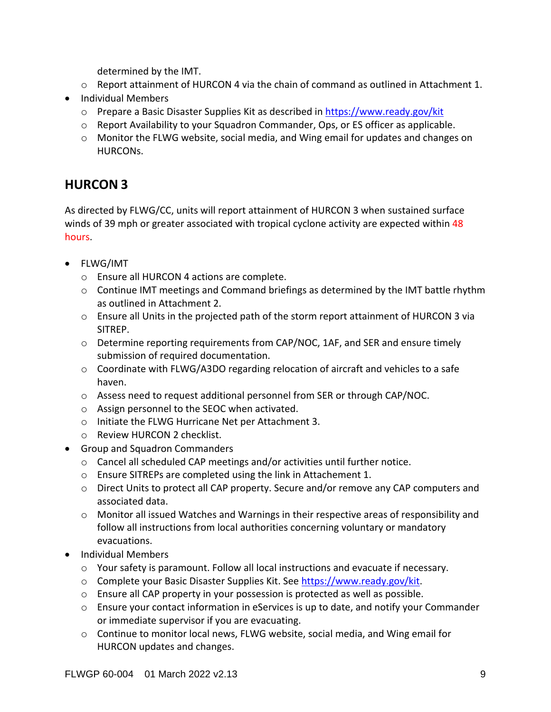determined by the IMT.

- $\circ$  Report attainment of HURCON 4 via the chain of command as outlined in Attachment 1.
- Individual Members
	- $\circ$  Prepare a Basic Disaster Supplies Kit as described in<https://www.ready.gov/kit>
	- $\circ$  Report Availability to your Squadron Commander, Ops, or ES officer as applicable.
	- o Monitor the FLWG website, social media, and Wing email for updates and changes on HURCONs.

# **HURCON 3**

As directed by FLWG/CC, units will report attainment of HURCON 3 when sustained surface winds of 39 mph or greater associated with tropical cyclone activity are expected within 48 hours.

- FLWG/IMT
	- o Ensure all HURCON 4 actions are complete.
	- $\circ$  Continue IMT meetings and Command briefings as determined by the IMT battle rhythm as outlined in Attachment 2.
	- o Ensure all Units in the projected path of the storm report attainment of HURCON 3 via SITREP.
	- o Determine reporting requirements from CAP/NOC, 1AF, and SER and ensure timely submission of required documentation.
	- o Coordinate with FLWG/A3DO regarding relocation of aircraft and vehicles to a safe haven.
	- o Assess need to request additional personnel from SER or through CAP/NOC.
	- o Assign personnel to the SEOC when activated.
	- o Initiate the FLWG Hurricane Net per Attachment 3.
	- o Review HURCON 2 checklist.
- Group and Squadron Commanders
	- o Cancel all scheduled CAP meetings and/or activities until further notice.
	- o Ensure SITREPs are completed using the link in Attachement 1.
	- o Direct Units to protect all CAP property. Secure and/or remove any CAP computers and associated data.
	- o Monitor all issued Watches and Warnings in their respective areas of responsibility and follow all instructions from local authorities concerning voluntary or mandatory evacuations.
- Individual Members
	- $\circ$  Your safety is paramount. Follow all local instructions and evacuate if necessary.
	- o Complete your Basic Disaster Supplies Kit. See [https://www.ready.gov/kit.](https://www.ready.gov/kit)
	- $\circ$  Ensure all CAP property in your possession is protected as well as possible.
	- $\circ$  Ensure your contact information in eServices is up to date, and notify your Commander or immediate supervisor if you are evacuating.
	- $\circ$  Continue to monitor local news, FLWG website, social media, and Wing email for HURCON updates and changes.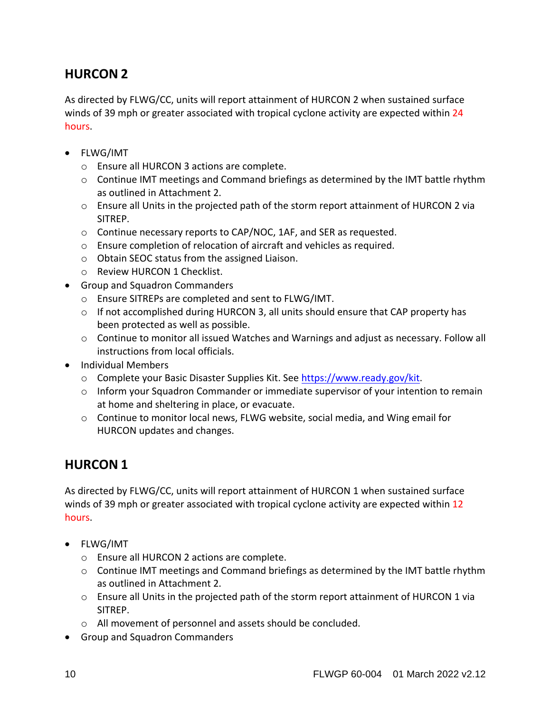# <span id="page-9-0"></span>**HURCON 2**

As directed by FLWG/CC, units will report attainment of HURCON 2 when sustained surface winds of 39 mph or greater associated with tropical cyclone activity are expected within 24 hours.

- FLWG/IMT
	- o Ensure all HURCON 3 actions are complete.
	- $\circ$  Continue IMT meetings and Command briefings as determined by the IMT battle rhythm as outlined in Attachment 2.
	- o Ensure all Units in the projected path of the storm report attainment of HURCON 2 via SITREP.
	- o Continue necessary reports to CAP/NOC, 1AF, and SER as requested.
	- o Ensure completion of relocation of aircraft and vehicles as required.
	- o Obtain SEOC status from the assigned Liaison.
	- o Review HURCON 1 Checklist.
- Group and Squadron Commanders
	- o Ensure SITREPs are completed and sent to FLWG/IMT.
	- o If not accomplished during HURCON 3, all units should ensure that CAP property has been protected as well as possible.
	- $\circ$  Continue to monitor all issued Watches and Warnings and adjust as necessary. Follow all instructions from local officials.
- Individual Members
	- o Complete your Basic Disaster Supplies Kit. See [https://www.ready.gov/kit.](https://www.ready.gov/kit)
	- $\circ$  Inform your Squadron Commander or immediate supervisor of your intention to remain at home and sheltering in place, or evacuate.
	- $\circ$  Continue to monitor local news, FLWG website, social media, and Wing email for HURCON updates and changes.

# <span id="page-9-1"></span>**HURCON 1**

As directed by FLWG/CC, units will report attainment of HURCON 1 when sustained surface winds of 39 mph or greater associated with tropical cyclone activity are expected within 12 hours.

- FLWG/IMT
	- o Ensure all HURCON 2 actions are complete.
	- $\circ$  Continue IMT meetings and Command briefings as determined by the IMT battle rhythm as outlined in Attachment 2.
	- o Ensure all Units in the projected path of the storm report attainment of HURCON 1 via SITREP.
	- o All movement of personnel and assets should be concluded.
- Group and Squadron Commanders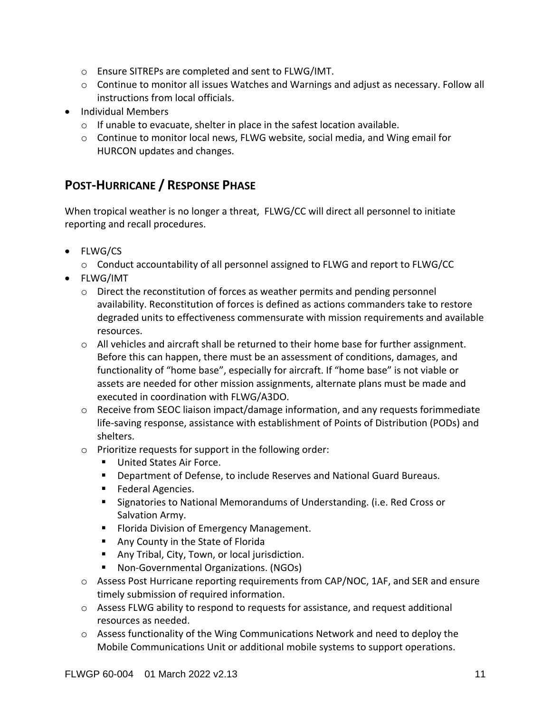- o Ensure SITREPs are completed and sent to FLWG/IMT.
- $\circ$  Continue to monitor all issues Watches and Warnings and adjust as necessary. Follow all instructions from local officials.
- Individual Members
	- o If unable to evacuate, shelter in place in the safest location available.
	- $\circ$  Continue to monitor local news, FLWG website, social media, and Wing email for HURCON updates and changes.

## <span id="page-10-0"></span>**POST-HURRICANE / RESPONSE PHASE**

When tropical weather is no longer a threat, FLWG/CC will direct all personnel to initiate reporting and recall procedures.

- FLWG/CS
	- o Conduct accountability of all personnel assigned to FLWG and report to FLWG/CC
- FLWG/IMT
	- o Direct the reconstitution of forces as weather permits and pending personnel availability. Reconstitution of forces is defined as actions commanders take to restore degraded units to effectiveness commensurate with mission requirements and available resources.
	- $\circ$  All vehicles and aircraft shall be returned to their home base for further assignment. Before this can happen, there must be an assessment of conditions, damages, and functionality of "home base", especially for aircraft. If "home base" is not viable or assets are needed for other mission assignments, alternate plans must be made and executed in coordination with FLWG/A3DO.
	- o Receive from SEOC liaison impact/damage information, and any requests forimmediate life-saving response, assistance with establishment of Points of Distribution (PODs) and shelters.
	- o Prioritize requests for support in the following order:
		- **United States Air Force.**
		- Department of Defense, to include Reserves and National Guard Bureaus.
		- **Federal Agencies.**
		- Signatories to National Memorandums of Understanding. (i.e. Red Cross or Salvation Army.
		- **Florida Division of Emergency Management.**
		- **Any County in the State of Florida**
		- **Any Tribal, City, Town, or local jurisdiction.**
		- Non-Governmental Organizations. (NGOs)
	- o Assess Post Hurricane reporting requirements from CAP/NOC, 1AF, and SER and ensure timely submission of required information.
	- o Assess FLWG ability to respond to requests for assistance, and request additional resources as needed.
	- $\circ$  Assess functionality of the Wing Communications Network and need to deploy the Mobile Communications Unit or additional mobile systems to support operations.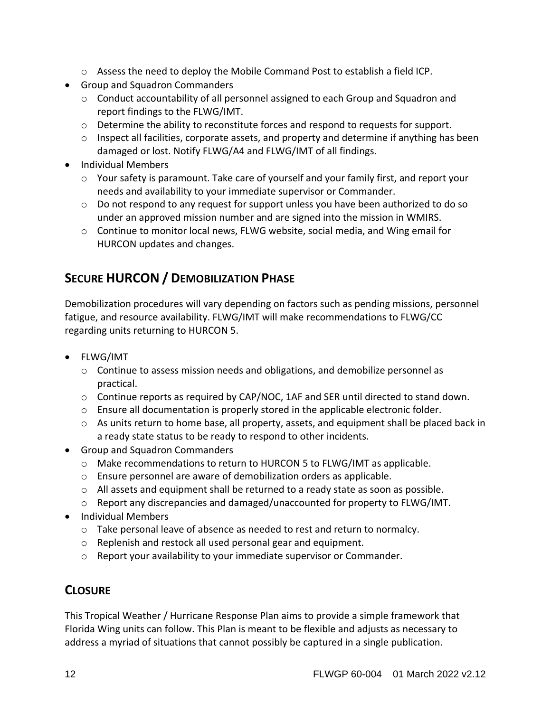- $\circ$  Assess the need to deploy the Mobile Command Post to establish a field ICP.
- Group and Squadron Commanders
	- o Conduct accountability of all personnel assigned to each Group and Squadron and report findings to the FLWG/IMT.
	- $\circ$  Determine the ability to reconstitute forces and respond to requests for support.
	- o Inspect all facilities, corporate assets, and property and determine if anything has been damaged or lost. Notify FLWG/A4 and FLWG/IMT of all findings.
- Individual Members
	- o Your safety is paramount. Take care of yourself and your family first, and report your needs and availability to your immediate supervisor or Commander.
	- $\circ$  Do not respond to any request for support unless you have been authorized to do so under an approved mission number and are signed into the mission in WMIRS.
	- $\circ$  Continue to monitor local news, FLWG website, social media, and Wing email for HURCON updates and changes.

# <span id="page-11-0"></span>**SECURE HURCON / DEMOBILIZATION PHASE**

Demobilization procedures will vary depending on factors such as pending missions, personnel fatigue, and resource availability. FLWG/IMT will make recommendations to FLWG/CC regarding units returning to HURCON 5.

- FLWG/IMT
	- o Continue to assess mission needs and obligations, and demobilize personnel as practical.
	- $\circ$  Continue reports as required by CAP/NOC, 1AF and SER until directed to stand down.
	- o Ensure all documentation is properly stored in the applicable electronic folder.
	- o As units return to home base, all property, assets, and equipment shall be placed back in a ready state status to be ready to respond to other incidents.
- Group and Squadron Commanders
	- $\circ$  Make recommendations to return to HURCON 5 to FLWG/IMT as applicable.
	- o Ensure personnel are aware of demobilization orders as applicable.
	- o All assets and equipment shall be returned to a ready state as soon as possible.
	- o Report any discrepancies and damaged/unaccounted for property to FLWG/IMT.
- Individual Members
	- $\circ$  Take personal leave of absence as needed to rest and return to normalcy.
	- o Replenish and restock all used personal gear and equipment.
	- o Report your availability to your immediate supervisor or Commander.

# <span id="page-11-1"></span>**CLOSURE**

This Tropical Weather / Hurricane Response Plan aims to provide a simple framework that Florida Wing units can follow. This Plan is meant to be flexible and adjusts as necessary to address a myriad of situations that cannot possibly be captured in a single publication.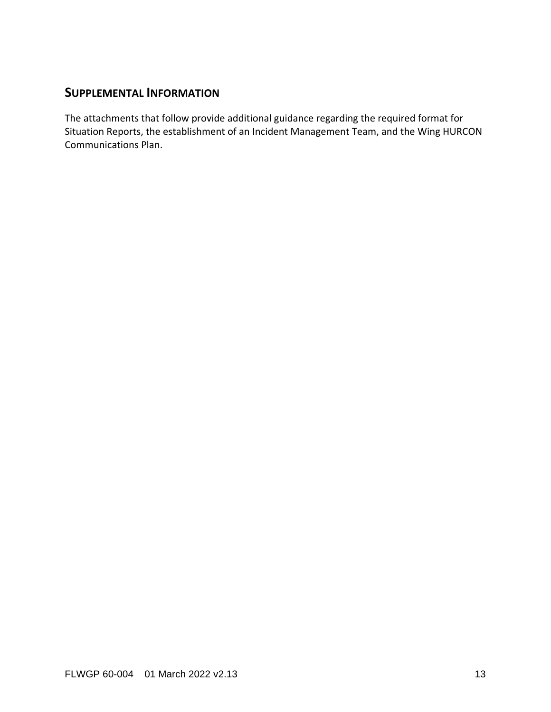### <span id="page-12-0"></span>**SUPPLEMENTAL INFORMATION**

The attachments that follow provide additional guidance regarding the required format for Situation Reports, the establishment of an Incident Management Team, and the Wing HURCON Communications Plan.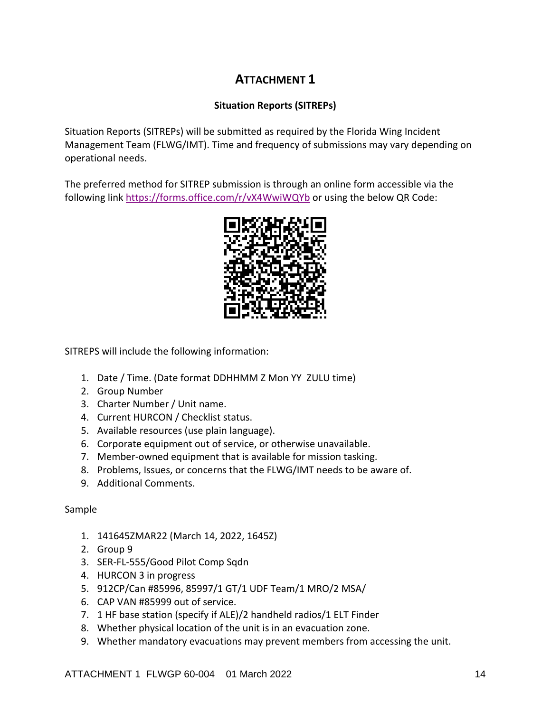### **ATTACHMENT 1**

### **Situation Reports (SITREPs)**

<span id="page-13-0"></span>Situation Reports (SITREPs) will be submitted as required by the Florida Wing Incident Management Team (FLWG/IMT). Time and frequency of submissions may vary depending on operational needs.

The preferred method for SITREP submission is through an online form accessible via the following link<https://forms.office.com/r/vX4WwiWQYb> or using the below QR Code:



SITREPS will include the following information:

- 1. Date / Time. (Date format DDHHMM Z Mon YY ZULU time)
- 2. Group Number
- 3. Charter Number / Unit name.
- 4. Current HURCON / Checklist status.
- 5. Available resources (use plain language).
- 6. Corporate equipment out of service, or otherwise unavailable.
- 7. Member-owned equipment that is available for mission tasking.
- 8. Problems, Issues, or concerns that the FLWG/IMT needs to be aware of.
- 9. Additional Comments.

#### Sample

- 1. 141645ZMAR22 (March 14, 2022, 1645Z)
- 2. Group 9
- 3. SER-FL-555/Good Pilot Comp Sqdn
- 4. HURCON 3 in progress
- 5. 912CP/Can #85996, 85997/1 GT/1 UDF Team/1 MRO/2 MSA/
- 6. CAP VAN #85999 out of service.
- 7. 1 HF base station (specify if ALE)/2 handheld radios/1 ELT Finder
- 8. Whether physical location of the unit is in an evacuation zone.
- 9. Whether mandatory evacuations may prevent members from accessing the unit.